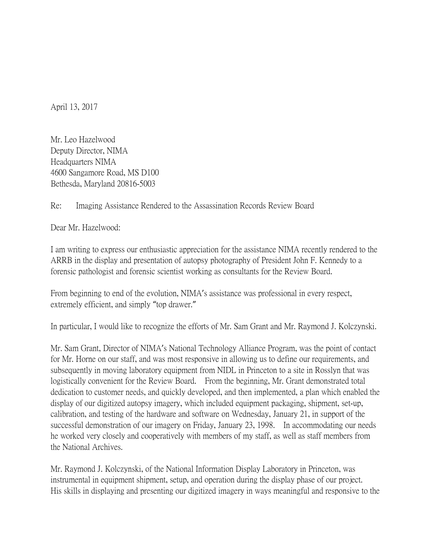April 13, 2017

Mr. Leo Hazelwood Deputy Director, NIMA Headquarters NIMA 4600 Sangamore Road, MS D100 Bethesda, Maryland 20816-5003

## Re: Imaging Assistance Rendered to the Assassination Records Review Board

Dear Mr. Hazelwood:

I am writing to express our enthusiastic appreciation for the assistance NIMA recently rendered to the ARRB in the display and presentation of autopsy photography of President John F. Kennedy to a forensic pathologist and forensic scientist working as consultants for the Review Board.

From beginning to end of the evolution, NIMA's assistance was professional in every respect, extremely efficient, and simply "top drawer."

In particular, I would like to recognize the efforts of Mr. Sam Grant and Mr. Raymond J. Kolczynski.

Mr. Sam Grant, Director of NIMA's National Technology Alliance Program, was the point of contact for Mr. Horne on our staff, and was most responsive in allowing us to define our requirements, and subsequently in moving laboratory equipment from NIDL in Princeton to a site in Rosslyn that was logistically convenient for the Review Board. From the beginning, Mr. Grant demonstrated total dedication to customer needs, and quickly developed, and then implemented, a plan which enabled the display of our digitized autopsy imagery, which included equipment packaging, shipment, set-up, calibration, and testing of the hardware and software on Wednesday, January 21, in support of the successful demonstration of our imagery on Friday, January 23, 1998. In accommodating our needs he worked very closely and cooperatively with members of my staff, as well as staff members from the National Archives.

Mr. Raymond J. Kolczynski, of the National Information Display Laboratory in Princeton, was instrumental in equipment shipment, setup, and operation during the display phase of our project. His skills in displaying and presenting our digitized imagery in ways meaningful and responsive to the